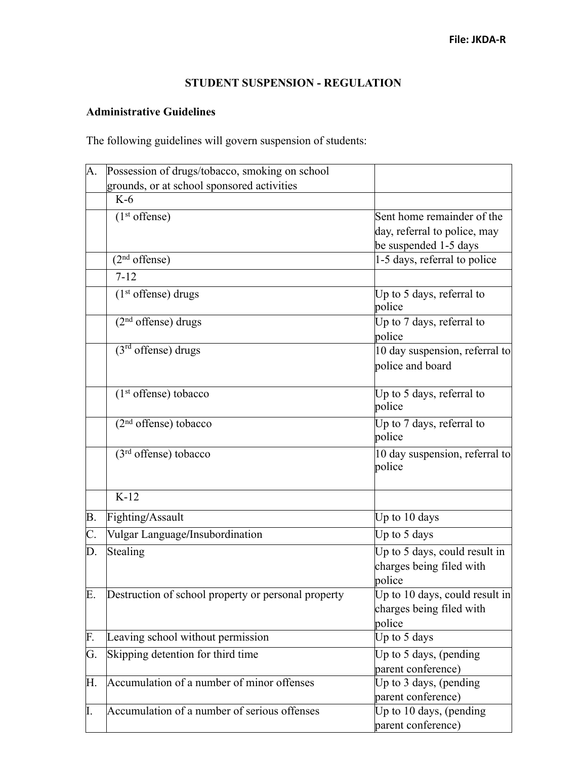## **STUDENT SUSPENSION - REGULATION**

## **Administrative Guidelines**

The following guidelines will govern suspension of students:

| A.             | Possession of drugs/tobacco, smoking on school      |                                                                                     |
|----------------|-----------------------------------------------------|-------------------------------------------------------------------------------------|
|                | grounds, or at school sponsored activities          |                                                                                     |
|                | $K-6$                                               |                                                                                     |
|                | $(1st$ offense)                                     | Sent home remainder of the<br>day, referral to police, may<br>be suspended 1-5 days |
|                | $(2nd$ offense)                                     | 1-5 days, referral to police                                                        |
|                | $7 - 12$                                            |                                                                                     |
|                | $(1st$ offense) drugs                               | Up to 5 days, referral to<br>police                                                 |
|                | $(2nd$ offense) drugs                               | Up to 7 days, referral to<br>police                                                 |
|                | $(3rd$ offense) drugs                               | 10 day suspension, referral to<br>police and board                                  |
|                | (1 <sup>st</sup> offense) tobacco                   | Up to 5 days, referral to<br>police                                                 |
|                | $(2nd$ offense) tobacco                             | Up to 7 days, referral to<br>police                                                 |
|                | $(3rd$ offense) tobacco                             | 10 day suspension, referral to<br>police                                            |
|                | $K-12$                                              |                                                                                     |
| B <sub>1</sub> | Fighting/Assault                                    | Up to 10 days                                                                       |
| $\mathsf{C}.$  | Vulgar Language/Insubordination                     | Up to 5 days                                                                        |
| D.             | Stealing                                            | Up to 5 days, could result in<br>charges being filed with<br>police                 |
| Е.             | Destruction of school property or personal property | Up to 10 days, could result in<br>charges being filed with<br>police                |
| F.             | Leaving school without permission                   | Up to 5 days                                                                        |
| G.             | Skipping detention for third time                   | Up to 5 days, (pending<br>parent conference)                                        |
| Н.             | Accumulation of a number of minor offenses          | Up to 3 days, (pending<br>parent conference)                                        |
| I.             | Accumulation of a number of serious offenses        | Up to 10 days, (pending<br>parent conference)                                       |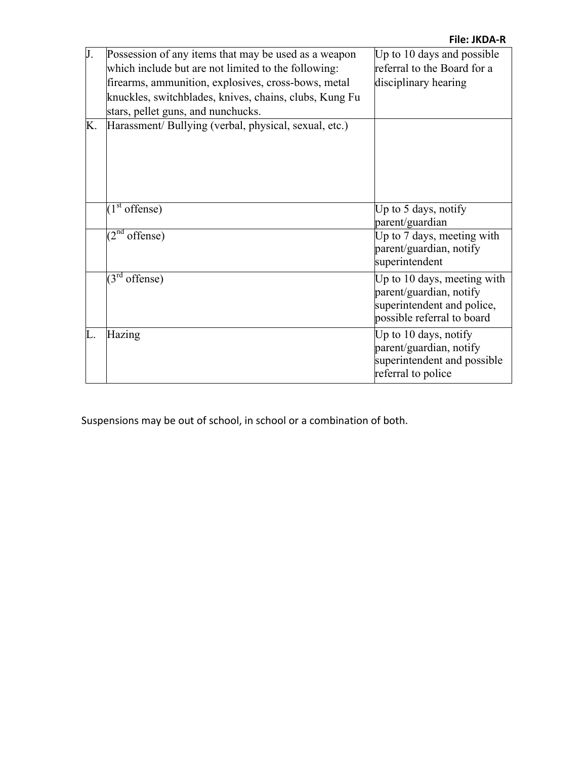|    |                                                        | <b>File: JKDA-R</b>         |
|----|--------------------------------------------------------|-----------------------------|
| J. | Possession of any items that may be used as a weapon   | Up to 10 days and possible  |
|    | which include but are not limited to the following:    | referral to the Board for a |
|    | firearms, ammunition, explosives, cross-bows, metal    | disciplinary hearing        |
|    | knuckles, switchblades, knives, chains, clubs, Kung Fu |                             |
|    | stars, pellet guns, and nunchucks.                     |                             |
| Κ. | Harassment/Bullying (verbal, physical, sexual, etc.)   |                             |
|    |                                                        |                             |
|    |                                                        |                             |
|    |                                                        |                             |
|    |                                                        |                             |
|    |                                                        |                             |
|    | $(1st$ offense)                                        | Up to $5$ days, notify      |
|    |                                                        | parent/guardian             |
|    | $(2^{nd}$<br>offense)                                  | Up to 7 days, meeting with  |
|    |                                                        | parent/guardian, notify     |
|    |                                                        | superintendent              |
|    | $(3^{rd}$<br>offense)                                  | Up to 10 days, meeting with |
|    |                                                        | parent/guardian, notify     |
|    |                                                        | superintendent and police,  |
|    |                                                        | possible referral to board  |
| L. | Hazing                                                 | Up to 10 days, notify       |
|    |                                                        | parent/guardian, notify     |
|    |                                                        | superintendent and possible |
|    |                                                        | referral to police          |

Suspensions may be out of school, in school or a combination of both.